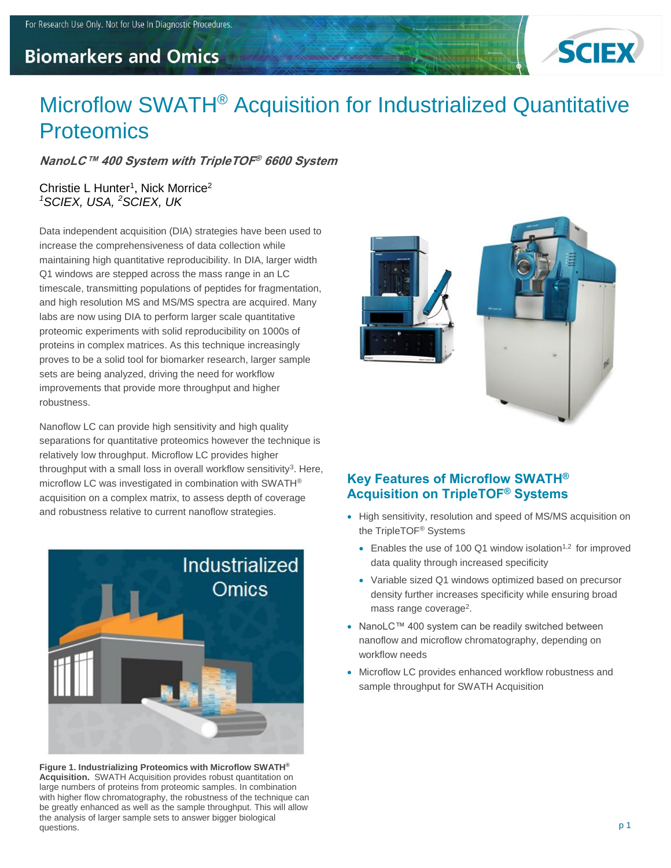# **Biomarkers and Omics**



# Microflow SWATH® Acquisition for Industrialized Quantitative **Proteomics**

**NanoLC™ 400 System with TripleTOF ® 6600 System**

#### Christie L Hunter<sup>1</sup>, Nick Morrice<sup>2</sup> *<sup>1</sup>SCIEX, USA, <sup>2</sup>SCIEX, UK*

Data independent acquisition (DIA) strategies have been used to increase the comprehensiveness of data collection while maintaining high quantitative reproducibility. In DIA, larger width Q1 windows are stepped across the mass range in an LC timescale, transmitting populations of peptides for fragmentation, and high resolution MS and MS/MS spectra are acquired. Many labs are now using DIA to perform larger scale quantitative proteomic experiments with solid reproducibility on 1000s of proteins in complex matrices. As this technique increasingly proves to be a solid tool for biomarker research, larger sample sets are being analyzed, driving the need for workflow improvements that provide more throughput and higher robustness.

Nanoflow LC can provide high sensitivity and high quality separations for quantitative proteomics however the technique is relatively low throughput. Microflow LC provides higher throughput with a small loss in overall workflow sensitivity<sup>3</sup>. Here, microflow LC was investigated in combination with SWATH® acquisition on a complex matrix, to assess depth of coverage and robustness relative to current nanoflow strategies.



**Figure 1. Industrializing Proteomics with Microflow SWATH® Acquisition.** SWATH Acquisition provides robust quantitation on large numbers of proteins from proteomic samples. In combination with higher flow chromatography, the robustness of the technique can be greatly enhanced as well as the sample throughput. This will allow the analysis of larger sample sets to answer bigger biological questions.



## **Key Features of Microflow SWATH® Acquisition on TripleTOF® Systems**

- High sensitivity, resolution and speed of MS/MS acquisition on the TripleTOF® Systems
	- Enables the use of 100 Q1 window isolation<sup>1,2</sup> for improved data quality through increased specificity
	- Variable sized Q1 windows optimized based on precursor density further increases specificity while ensuring broad mass range coverage<sup>2</sup>.
- NanoLC™ 400 system can be readily switched between nanoflow and microflow chromatography, depending on workflow needs
- Microflow LC provides enhanced workflow robustness and sample throughput for SWATH Acquisition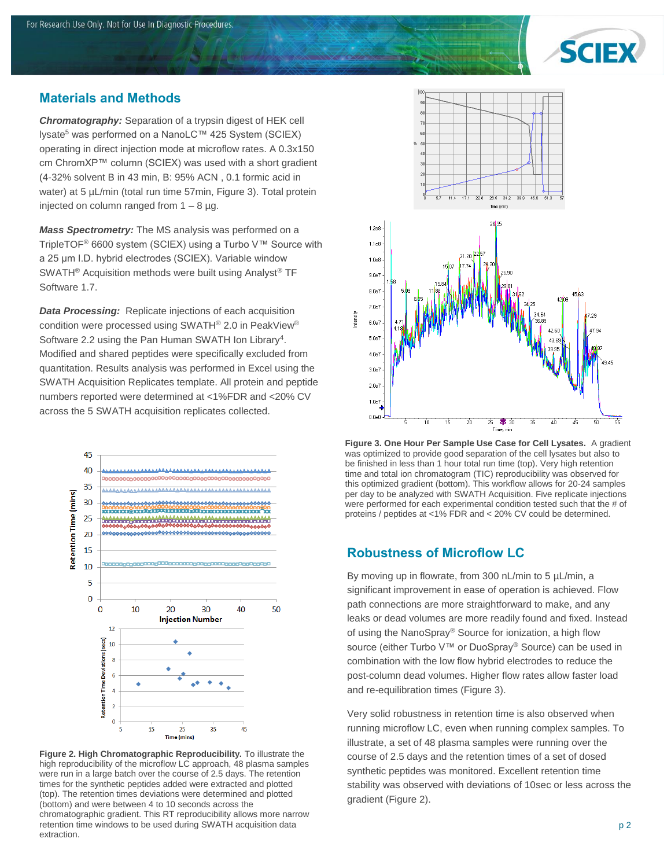

#### **Materials and Methods**

*Chromatography:* Separation of a trypsin digest of HEK cell lysate<sup>5</sup> was performed on a NanoLC™ 425 System (SCIEX) operating in direct injection mode at microflow rates. A 0.3x150 cm ChromXP™ column (SCIEX) was used with a short gradient (4-32% solvent B in 43 min, B: 95% ACN , 0.1 formic acid in water) at 5  $\mu$ L/min (total run time 57min, Figure 3). Total protein injected on column ranged from  $1 - 8 \mu g$ .

*Mass Spectrometry:* The MS analysis was performed on a TripleTOF® 6600 system (SCIEX) using a Turbo V™ Source with a 25 μm I.D. hybrid electrodes (SCIEX). Variable window SWATH® Acquisition methods were built using Analyst® TF Software 1.7.

*Data Processing:* Replicate injections of each acquisition condition were processed using SWATH® 2.0 in PeakView® Software 2.2 using the Pan Human SWATH Ion Library<sup>4</sup>. Modified and shared peptides were specifically excluded from quantitation. Results analysis was performed in Excel using the SWATH Acquisition Replicates template. All protein and peptide numbers reported were determined at <1%FDR and <20% CV across the 5 SWATH acquisition replicates collected.



**Figure 2. High Chromatographic Reproducibility.** To illustrate the high reproducibility of the microflow LC approach, 48 plasma samples were run in a large batch over the course of 2.5 days. The retention times for the synthetic peptides added were extracted and plotted (top). The retention times deviations were determined and plotted (bottom) and were between 4 to 10 seconds across the chromatographic gradient. This RT reproducibility allows more narrow retention time windows to be used during SWATH acquisition data extraction.



**Figure 3. One Hour Per Sample Use Case for Cell Lysates.** A gradient was optimized to provide good separation of the cell lysates but also to be finished in less than 1 hour total run time (top). Very high retention time and total ion chromatogram (TIC) reproducibility was observed for this optimized gradient (bottom). This workflow allows for 20-24 samples per day to be analyzed with SWATH Acquisition. Five replicate injections were performed for each experimental condition tested such that the # of proteins / peptides at <1% FDR and < 20% CV could be determined.

#### **Robustness of Microflow LC**

By moving up in flowrate, from 300 nL/min to 5 µL/min, a significant improvement in ease of operation is achieved. Flow path connections are more straightforward to make, and any leaks or dead volumes are more readily found and fixed. Instead of using the NanoSpray® Source for ionization, a high flow source (either Turbo V™ or DuoSpray® Source) can be used in combination with the low flow hybrid electrodes to reduce the post-column dead volumes. Higher flow rates allow faster load and re-equilibration times (Figure 3).

Very solid robustness in retention time is also observed when running microflow LC, even when running complex samples. To illustrate, a set of 48 plasma samples were running over the course of 2.5 days and the retention times of a set of dosed synthetic peptides was monitored. Excellent retention time stability was observed with deviations of 10sec or less across the gradient (Figure 2).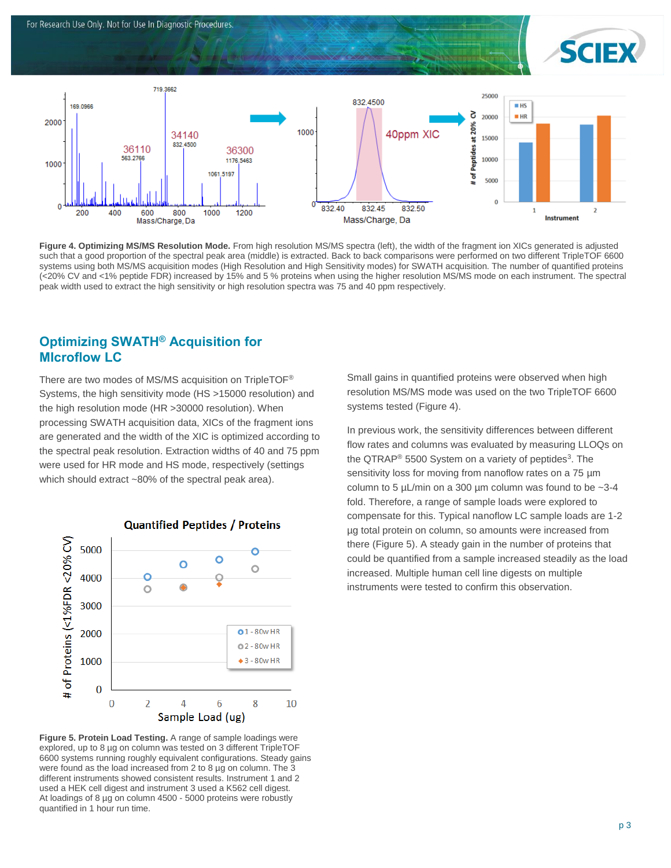



Figure 4. Optimizing MS/MS Resolution Mode. From high resolution MS/MS spectra (left), the width of the fragment ion XICs generated is adjusted such that a good proportion of the spectral peak area (middle) is extracted. Back to back comparisons were performed on two different TripleTOF 6600 systems using both MS/MS acquisition modes (High Resolution and High Sensitivity modes) for SWATH acquisition. The number of quantified proteins (<20% CV and <1% peptide FDR) increased by 15% and 5 % proteins when using the higher resolution MS/MS mode on each instrument. The spectral peak width used to extract the high sensitivity or high resolution spectra was 75 and 40 ppm respectively.

### **Optimizing SWATH® Acquisition for MIcroflow LC**

There are two modes of MS/MS acquisition on TripleTOF® Systems, the high sensitivity mode (HS >15000 resolution) and the high resolution mode (HR >30000 resolution). When processing SWATH acquisition data, XICs of the fragment ions are generated and the width of the XIC is optimized according to the spectral peak resolution. Extraction widths of 40 and 75 ppm were used for HR mode and HS mode, respectively (settings which should extract ~80% of the spectral peak area).



**Figure 5. Protein Load Testing.** A range of sample loadings were explored, up to 8 µg on column was tested on 3 different TripleTOF 6600 systems running roughly equivalent configurations. Steady gains were found as the load increased from 2 to 8 µg on column. The 3 different instruments showed consistent results. Instrument 1 and 2 used a HEK cell digest and instrument 3 used a K562 cell digest. At loadings of 8 µg on column 4500 - 5000 proteins were robustly quantified in 1 hour run time.

Small gains in quantified proteins were observed when high resolution MS/MS mode was used on the two TripleTOF 6600 systems tested (Figure 4).

In previous work, the sensitivity differences between different flow rates and columns was evaluated by measuring LLOQs on the QTRAP<sup>®</sup> 5500 System on a variety of peptides<sup>3</sup>. The sensitivity loss for moving from nanoflow rates on a 75  $\mu$ m column to 5  $\mu$ L/min on a 300  $\mu$ m column was found to be  $\sim$ 3-4 fold. Therefore, a range of sample loads were explored to compensate for this. Typical nanoflow LC sample loads are 1-2 µg total protein on column, so amounts were increased from there (Figure 5). A steady gain in the number of proteins that could be quantified from a sample increased steadily as the load increased. Multiple human cell line digests on multiple instruments were tested to confirm this observation.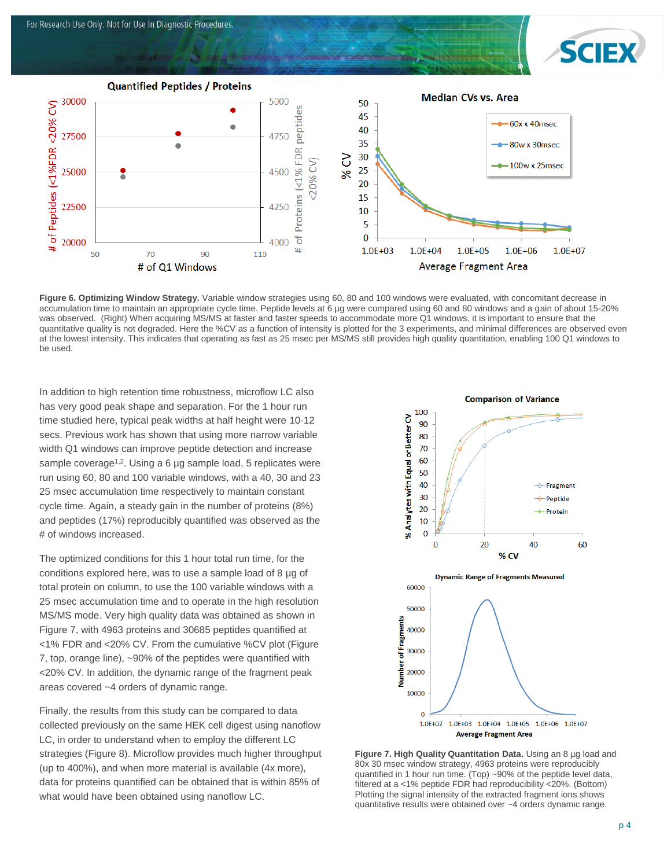

**Figure 6. Optimizing Window Strategy.** Variable window strategies using 60, 80 and 100 windows were evaluated, with concomitant decrease in accumulation time to maintain an appropriate cycle time. Peptide levels at 6 µg were compared using 60 and 80 windows and a gain of about 15-20% was observed. (Right) When acquiring MS/MS at faster and faster speeds to accommodate more Q1 windows, it is important to ensure that the quantitative quality is not degraded. Here the %CV as a function of intensity is plotted for the 3 experiments, and minimal differences are observed even at the lowest intensity. This indicates that operating as fast as 25 msec per MS/MS still provides high quality quantitation, enabling 100 Q1 windows to be used.

In addition to high retention time robustness, microflow LC also has very good peak shape and separation. For the 1 hour run time studied here, typical peak widths at half height were 10-12 secs. Previous work has shown that using more narrow variable width Q1 windows can improve peptide detection and increase sample coverage<sup>1,2</sup>. Using a 6  $\mu$ g sample load, 5 replicates were run using 60, 80 and 100 variable windows, with a 40, 30 and 23 25 msec accumulation time respectively to maintain constant cycle time. Again, a steady gain in the number of proteins (8%) and peptides (17%) reproducibly quantified was observed as the # of windows increased.

The optimized conditions for this 1 hour total run time, for the conditions explored here, was to use a sample load of 8 µg of total protein on column, to use the 100 variable windows with a 25 msec accumulation time and to operate in the high resolution MS/MS mode. Very high quality data was obtained as shown in Figure 7, with 4963 proteins and 30685 peptides quantified at <1% FDR and <20% CV. From the cumulative %CV plot (Figure 7, top, orange line), ~90% of the peptides were quantified with <20% CV. In addition, the dynamic range of the fragment peak areas covered ~4 orders of dynamic range.

Finally, the results from this study can be compared to data collected previously on the same HEK cell digest using nanoflow LC, in order to understand when to employ the different LC strategies (Figure 8). Microflow provides much higher throughput (up to 400%), and when more material is available (4x more), data for proteins quantified can be obtained that is within 85% of what would have been obtained using nanoflow LC.



**Figure 7. High Quality Quantitation Data.** Using an 8 µg load and 80x 30 msec window strategy, 4963 proteins were reproducibly quantified in 1 hour run time. (Top) ~90% of the peptide level data, filtered at a <1% peptide FDR had reproducibility <20%. (Bottom) Plotting the signal intensity of the extracted fragment ions shows quantitative results were obtained over ~4 orders dynamic range.